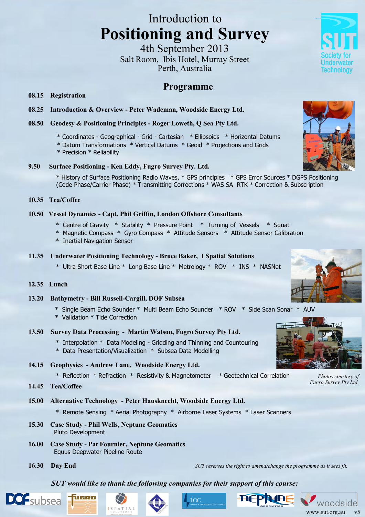# Introduction to **Positioning and Survey**

4th September 2013 Salt Room, Ibis Hotel, Murray Street Perth, Australia

# **Programme**

#### **08.15 Registration**

**08.25 Introduction & Overview - Peter Wademan, Woodside Energy Ltd.**

### **08.50 Geodesy & Positioning Principles - Roger Loweth, Q Sea Pty Ltd.**

- \* Coordinates Geographical Grid Cartesian \* Ellipsoids \* Horizontal Datums
- \* Datum Transformations \* Vertical Datums \* Geoid \* Projections and Grids
- \* Precision \* Reliability

#### **9.50 Surface Positioning - Ken Eddy, Fugro Survey Pty. Ltd.**

\* History of Surface Positioning Radio Waves, \* GPS principles \* GPS Error Sources \* DGPS Positioning (Code Phase/Carrier Phase) \* Transmitting Corrections \* WAS SA RTK \* Correction & Subscription

#### **10.35 Tea/Coffee**

#### **10.50 Vessel Dynamics - Capt. Phil Griffin, London Offshore Consultants**

- \* Centre of Gravity \* Stability \* Pressure Point \* Turning of Vessels \* Squat
- \* Magnetic Compass \* Gyro Compass \* Attitude Sensors \* Attitude Sensor Calibration
- \* Inertial Navigation Sensor

#### **11.35 Underwater Positioning Technology - Bruce Baker, I Spatial Solutions**

\* Ultra Short Base Line \* Long Base Line \* Metrology \* ROV \* INS \* NASNet

#### **12.35 Lunch**

- **13.20 Bathymetry - Bill Russell-Cargill, DOF Subsea**
	- \* Single Beam Echo Sounder \* Multi Beam Echo Sounder \* ROV \* Side Scan Sonar \* AUV
	- \* Validation \* Tide Correction
- **13.50 Survey Data Processing - Martin Watson, Fugro Survey Pty Ltd.**
	- \* Interpolation \* Data Modeling Gridding and Thinning and Countouring
	- \* Data Presentation/Visualization \* Subsea Data Modelling
- **14.15 Geophysics - Andrew Lane, Woodside Energy Ltd.**
	- \* Reflection \* Refraction \* Resistivity & Magnetometer \* Geotechnical Correlation
- **14.45 Tea/Coffee**

## **15.00 Alternative Technology - Peter Hausknecht, Woodside Energy Ltd.**

- \* Remote Sensing \* Aerial Photography \* Airborne Laser Systems \* Laser Scanners
- **15.30 Case Study - Phil Wells, Neptune Geomatics** Pluto Development

ùceo

- **16.00 Case Study - Pat Fournier, Neptune Geomatics** Equus Deepwater Pipeline Route
- 

**16.30 Day End** *SUT reserves the right to amend/change the programme as it sees fit.*

*SUT would like to thank the following companies for their support of this course:*







*Photos courtesy of Fugro Survey Pty Ltd.*









Technology